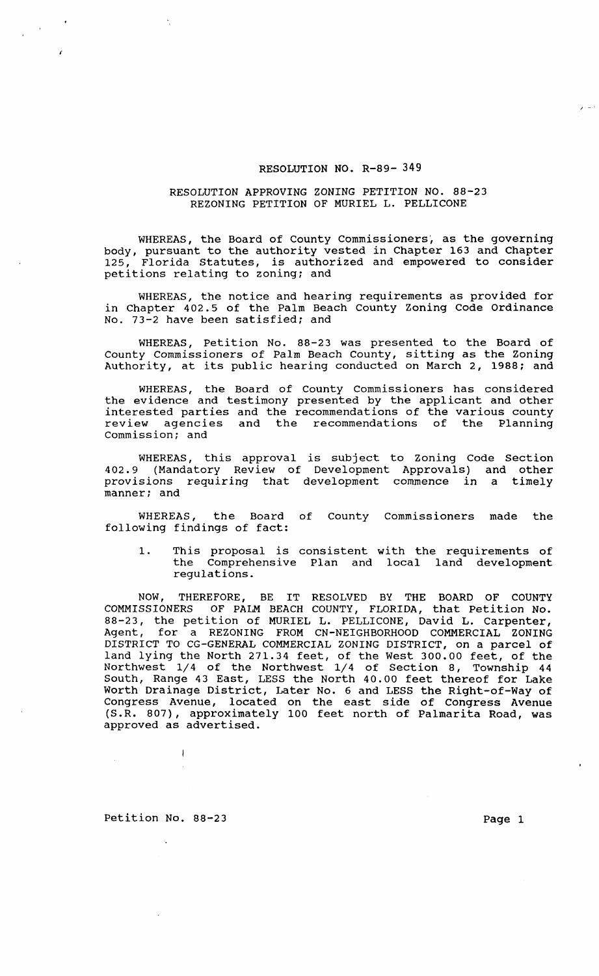## RESOLUTION NO. R-89- 349

## RESOLUTION APPROVING ZONING PETITION NO. 88-23 REZONING PETITION OF MURIEL L. PELLICONE

WHEREAS, the Board of County Commissioners, as the governing body, pursuant to the authority vested in Chapter 163 and Chapter<br>125. Florida Statutes, is authorized and empowered to consider Florida Statutes, is authorized and empowered to consider petitions relating to zoning; and

WHEREAS, the notice and hearing requirements as provided for in Chapter 402.5 of the Palm Beach County Zoning Code Ordinance No. 73-2 have been satisfied; and

WHEREAS, Petition No. 88-23 was presented to the Board of County Commissioners of Palm Beach County, sitting as the Zoning Authority, at its public hearing conducted on March 2, 1988; and

WHEREAS, the Board of County Commissioners has considered the evidence and testimony presented by the applicant and other interested parties and the recommendations of the various county review agencies and the recommendations of the Planning commission; and

WHEREAS, this approval is subject to Zoning Code Section 402.9 (Mandatory Review of Development Approvals) and other provisions requiring that development commence in a timely manner; and

WHEREAS, the Board of County Commissioners made the following findings of fact:

1. This proposal is consistent with the requirements of the Comprehensive Plan and local land development regulations.

NOW, THEREFORE, BE IT RESOLVED BY THE BOARD OF COUNTY COMMISSIONERS OF PALM BEACH COUNTY, FLORIDA, that Petition No. 88-23, the petition of MURIEL L. PELLICONE, David L. carpenter, Agent, for a REZONING FROM CN-NEIGHBORHOOD COMMERCIAL ZONING DISTRICT TO CG-GENERAL COMMERCIAL ZONING DISTRICT, on a parcel of land lying the North 271.34 feet, of the West 300.00 feet, of the Northwest 1/4 of the Northwest 1/4 of Section 8, Township 44 South, Range 43 East, LESS the North 40.00 feet thereof for Lake Worth Drainage District, Later No. 6 and LESS the Right-of-Way of Congress Avenue, located on the east side of Congress Avenue (S.R. 807), approximately 100 feet north of Palmarita Road, was approved as advertised.

Petition No. 88-23 Page 1

 $\overline{\phantom{a}}$ 

I .-